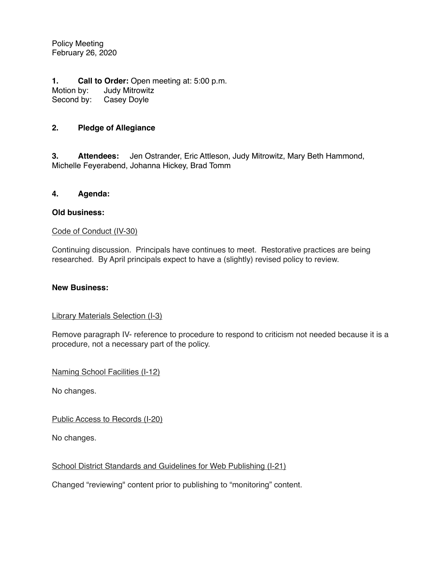Policy Meeting February 26, 2020

**1. Call to Order:** Open meeting at: 5:00 p.m. Motion by: Judy Mitrowitz Second by: Casey Doyle

### **2. Pledge of Allegiance**

**3. Attendees:** Jen Ostrander, Eric Attleson, Judy Mitrowitz, Mary Beth Hammond, Michelle Feyerabend, Johanna Hickey, Brad Tomm

#### **4. Agenda:**

#### **Old business:**

#### Code of Conduct (IV-30)

Continuing discussion. Principals have continues to meet. Restorative practices are being researched. By April principals expect to have a (slightly) revised policy to review.

#### **New Business:**

#### Library Materials Selection (I-3)

Remove paragraph IV- reference to procedure to respond to criticism not needed because it is a procedure, not a necessary part of the policy.

Naming School Facilities (I-12)

No changes.

Public Access to Records (I-20)

No changes.

#### School District Standards and Guidelines for Web Publishing (I-21)

Changed "reviewing" content prior to publishing to "monitoring" content.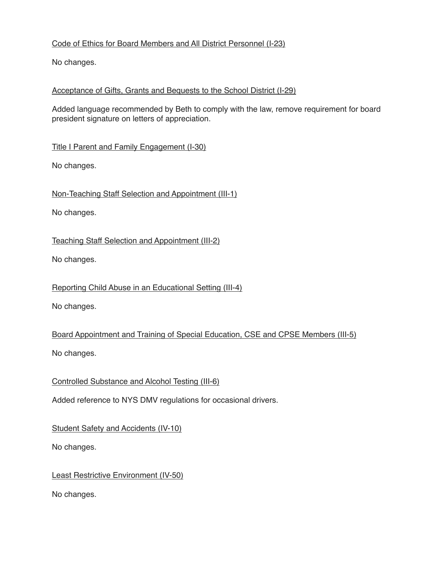## Code of Ethics for Board Members and All District Personnel (I-23)

No changes.

## Acceptance of Gifts, Grants and Bequests to the School District (I-29)

Added language recommended by Beth to comply with the law, remove requirement for board president signature on letters of appreciation.

Title I Parent and Family Engagement (I-30)

No changes.

Non-Teaching Staff Selection and Appointment (III-1)

No changes.

Teaching Staff Selection and Appointment (III-2)

No changes.

Reporting Child Abuse in an Educational Setting (III-4)

No changes.

Board Appointment and Training of Special Education, CSE and CPSE Members (III-5) No changes.

Controlled Substance and Alcohol Testing (III-6)

Added reference to NYS DMV regulations for occasional drivers.

Student Safety and Accidents (IV-10)

No changes.

Least Restrictive Environment (IV-50)

No changes.